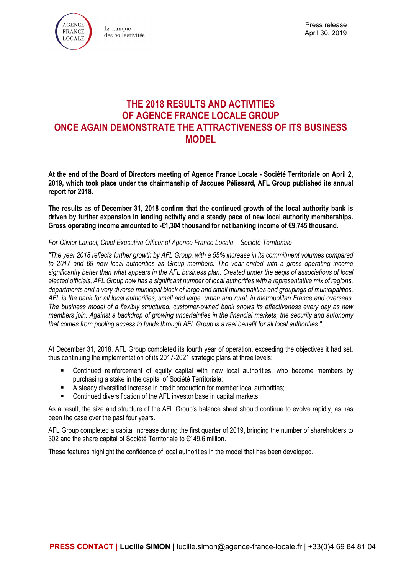

# **THE 2018 RESULTS AND ACTIVITIES OF AGENCE FRANCE LOCALE GROUP ONCE AGAIN DEMONSTRATE THE ATTRACTIVENESS OF ITS BUSINESS MODEL**

**At the end of the Board of Directors meeting of Agence France Locale - Société Territoriale on April 2, 2019, which took place under the chairmanship of Jacques Pélissard, AFL Group published its annual report for 2018.** 

**The results as of December 31, 2018 confirm that the continued growth of the local authority bank is driven by further expansion in lending activity and a steady pace of new local authority memberships. Gross operating income amounted to -€1,304 thousand for net banking income of €9,745 thousand.**

#### *For Olivier Landel, Chief Executive Officer of Agence France Locale – Société Territoriale*

*"The year 2018 reflects further growth by AFL Group, with a 55% increase in its commitment volumes compared to 2017 and 69 new local authorities as Group members. The year ended with a gross operating income significantly better than what appears in the AFL business plan. Created under the aegis of associations of local elected officials, AFL Group now has a significant number of local authorities with a representative mix of regions, departments and a very diverse municipal block of large and small municipalities and groupings of municipalities. AFL is the bank for all local authorities, small and large, urban and rural, in metropolitan France and overseas. The business model of a flexibly structured, customer-owned bank shows its effectiveness every day as new members join. Against a backdrop of growing uncertainties in the financial markets, the security and autonomy that comes from pooling access to funds through AFL Group is a real benefit for all local authorities."*

At December 31, 2018, AFL Group completed its fourth year of operation, exceeding the objectives it had set, thus continuing the implementation of its 2017-2021 strategic plans at three levels:

- Continued reinforcement of equity capital with new local authorities, who become members by purchasing a stake in the capital of Société Territoriale;
- A steady diversified increase in credit production for member local authorities;
- **EXECONTERGHT CONTINUMED IN CONTINUM** Continued diversification of the AFL investor base in capital markets.

As a result, the size and structure of the AFL Group's balance sheet should continue to evolve rapidly, as has been the case over the past four years.

AFL Group completed a capital increase during the first quarter of 2019, bringing the number of shareholders to 302 and the share capital of Société Territoriale to €149.6 million.

These features highlight the confidence of local authorities in the model that has been developed.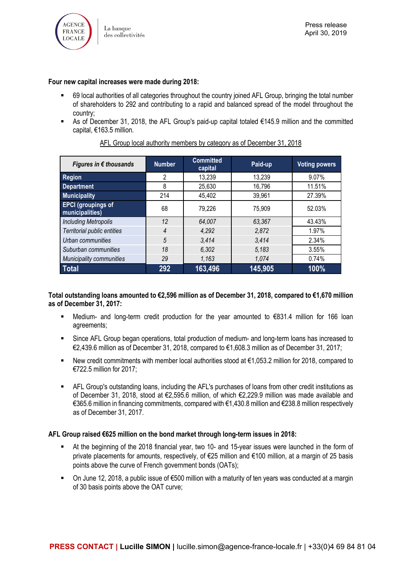

#### **Four new capital increases were made during 2018:**

- 69 local authorities of all categories throughout the country joined AFL Group, bringing the total number of shareholders to 292 and contributing to a rapid and balanced spread of the model throughout the country;
- As of December 31, 2018, the AFL Group's paid-up capital totaled  $\epsilon$ 145.9 million and the committed capital, €163.5 million.

| Figures in $f$ thousands                     | <b>Number</b> | <b>Committed</b><br>capital | Paid-up | <b>Voting powers</b> |
|----------------------------------------------|---------------|-----------------------------|---------|----------------------|
| Region                                       | $\mathcal{P}$ | 13,239                      | 13,239  | 9.07%                |
| <b>Department</b>                            | 8             | 25,630                      | 16,796  | 11.51%               |
| <b>Municipality</b>                          | 214           | 45,402                      | 39,961  | 27.39%               |
| <b>EPCI</b> (groupings of<br>municipalities) | 68            | 79.226                      | 75,909  | 52.03%               |
| <b>Including Metropolis</b>                  | 12            | 64,007                      | 63,367  | 43.43%               |
| Territorial public entities                  | 4             | 4,292                       | 2,872   | 1.97%                |
| Urban communities                            | 5             | 3,414                       | 3,414   | 2.34%                |
| Suburban communities                         | 18            | 6,302                       | 5,183   | 3.55%                |
| Municipality communities                     | 29            | 1,163                       | 1,074   | 0.74%                |
| Total                                        | 292           | 163,496                     | 145,905 | 100%                 |

AFL Group local authority members by category as of December 31, 2018

## **Total outstanding loans amounted to €2,596 million as of December 31, 2018, compared to €1,670 million as of December 31, 2017:**

- Medium- and long-term credit production for the year amounted to €831.4 million for 166 loan agreements;
- Since AFL Group began operations, total production of medium- and long-term loans has increased to €2,439.6 million as of December 31, 2018, compared to €1,608.3 million as of December 31, 2017;
- New credit commitments with member local authorities stood at  $\epsilon$ 1,053.2 million for 2018, compared to €722.5 million for 2017;
- AFL Group's outstanding loans, including the AFL's purchases of loans from other credit institutions as of December 31, 2018, stood at €2,595.6 million, of which €2,229.9 million was made available and €365.6 million in financing commitments, compared with €1,430.8 million and €238.8 million respectively as of December 31, 2017.

#### **AFL Group raised €625 million on the bond market through long-term issues in 2018:**

- At the beginning of the 2018 financial year, two 10- and 15-year issues were launched in the form of private placements for amounts, respectively, of €25 million and €100 million, at a margin of 25 basis points above the curve of French government bonds (OATs);
- On June 12, 2018, a public issue of €500 million with a maturity of ten years was conducted at a margin of 30 basis points above the OAT curve;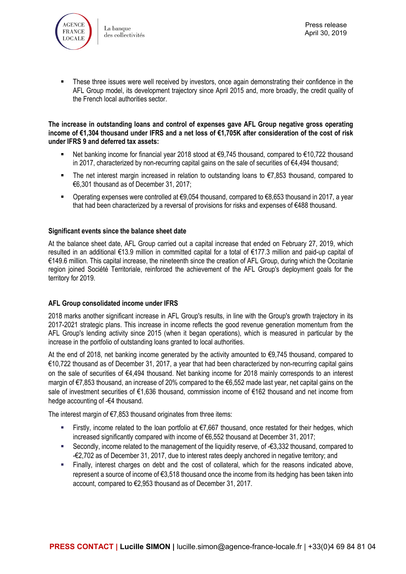

 These three issues were well received by investors, once again demonstrating their confidence in the AFL Group model, its development trajectory since April 2015 and, more broadly, the credit quality of the French local authorities sector.

#### **The increase in outstanding loans and control of expenses gave AFL Group negative gross operating income of €1,304 thousand under IFRS and a net loss of €1,705K after consideration of the cost of risk under IFRS 9 and deferred tax assets:**

- Net banking income for financial year 2018 stood at €9,745 thousand, compared to €10,722 thousand in 2017, characterized by non-recurring capital gains on the sale of securities of €4,494 thousand;
- The net interest margin increased in relation to outstanding loans to €7,853 thousand, compared to €6,301 thousand as of December 31, 2017;
- Operating expenses were controlled at €9,054 thousand, compared to €8,653 thousand in 2017, a year that had been characterized by a reversal of provisions for risks and expenses of €488 thousand.

## **Significant events since the balance sheet date**

At the balance sheet date, AFL Group carried out a capital increase that ended on February 27, 2019, which resulted in an additional €13.9 million in committed capital for a total of €177.3 million and paid-up capital of €149.6 million. This capital increase, the nineteenth since the creation of AFL Group, during which the Occitanie region joined Société Territoriale, reinforced the achievement of the AFL Group's deployment goals for the territory for 2019.

# **AFL Group consolidated income under IFRS**

2018 marks another significant increase in AFL Group's results, in line with the Group's growth trajectory in its 2017-2021 strategic plans. This increase in income reflects the good revenue generation momentum from the AFL Group's lending activity since 2015 (when it began operations), which is measured in particular by the increase in the portfolio of outstanding loans granted to local authorities.

At the end of 2018, net banking income generated by the activity amounted to €9,745 thousand, compared to €10,722 thousand as of December 31, 2017, a year that had been characterized by non-recurring capital gains on the sale of securities of €4,494 thousand. Net banking income for 2018 mainly corresponds to an interest margin of €7,853 thousand, an increase of 20% compared to the €6,552 made last year, net capital gains on the sale of investment securities of €1,636 thousand, commission income of €162 thousand and net income from hedge accounting of -€4 thousand.

The interest margin of  $\epsilon$ 7,853 thousand originates from three items:

- Firstly, income related to the loan portfolio at €7,667 thousand, once restated for their hedges, which increased significantly compared with income of €6,552 thousand at December 31, 2017;
- Secondly, income related to the management of the liquidity reserve, of -€3,332 thousand, compared to -€2,702 as of December 31, 2017, due to interest rates deeply anchored in negative territory; and
- Finally, interest charges on debt and the cost of collateral, which for the reasons indicated above, represent a source of income of €3,518 thousand once the income from its hedging has been taken into account, compared to €2,953 thousand as of December 31, 2017.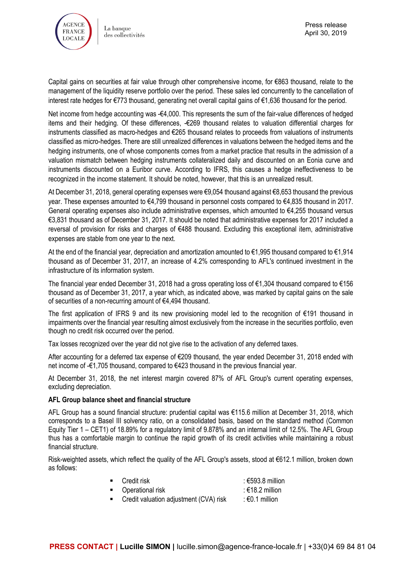

Capital gains on securities at fair value through other comprehensive income, for €863 thousand, relate to the management of the liquidity reserve portfolio over the period. These sales led concurrently to the cancellation of interest rate hedges for €773 thousand, generating net overall capital gains of €1,636 thousand for the period.

Net income from hedge accounting was -€4,000. This represents the sum of the fair-value differences of hedged items and their hedging. Of these differences, -€269 thousand relates to valuation differential charges for instruments classified as macro-hedges and €265 thousand relates to proceeds from valuations of instruments classified as micro-hedges. There are still unrealized differences in valuations between the hedged items and the hedging instruments, one of whose components comes from a market practice that results in the admission of a valuation mismatch between hedging instruments collateralized daily and discounted on an Eonia curve and instruments discounted on a Euribor curve. According to IFRS, this causes a hedge ineffectiveness to be recognized in the income statement. It should be noted, however, that this is an unrealized result.

At December 31, 2018, general operating expenses were €9,054 thousand against €8,653 thousand the previous year. These expenses amounted to €4,799 thousand in personnel costs compared to €4,835 thousand in 2017. General operating expenses also include administrative expenses, which amounted to €4,255 thousand versus €3,831 thousand as of December 31, 2017. It should be noted that administrative expenses for 2017 included a reversal of provision for risks and charges of €488 thousand. Excluding this exceptional item, administrative expenses are stable from one year to the next.

At the end of the financial year, depreciation and amortization amounted to €1,995 thousand compared to €1,914 thousand as of December 31, 2017, an increase of 4.2% corresponding to AFL's continued investment in the infrastructure of its information system.

The financial year ended December 31, 2018 had a gross operating loss of €1,304 thousand compared to €156 thousand as of December 31, 2017, a year which, as indicated above, was marked by capital gains on the sale of securities of a non-recurring amount of €4,494 thousand.

The first application of IFRS 9 and its new provisioning model led to the recognition of €191 thousand in impairments over the financial year resulting almost exclusively from the increase in the securities portfolio, even though no credit risk occurred over the period.

Tax losses recognized over the year did not give rise to the activation of any deferred taxes.

After accounting for a deferred tax expense of €209 thousand, the year ended December 31, 2018 ended with net income of -€1,705 thousand, compared to €423 thousand in the previous financial year.

At December 31, 2018, the net interest margin covered 87% of AFL Group's current operating expenses, excluding depreciation.

#### **AFL Group balance sheet and financial structure**

AFL Group has a sound financial structure: prudential capital was €115.6 million at December 31, 2018, which corresponds to a Basel III solvency ratio, on a consolidated basis, based on the standard method (Common Equity Tier 1 – CET1) of 18.89% for a regulatory limit of 9.878% and an internal limit of 12.5%. The AFL Group thus has a comfortable margin to continue the rapid growth of its credit activities while maintaining a robust financial structure.

Risk-weighted assets, which reflect the quality of the AFL Group's assets, stood at €612.1 million, broken down as follows:

| $\blacksquare$ Credit risk                                                                                                                                                                                                                                                                                                                                                        | : €593.8 million            |
|-----------------------------------------------------------------------------------------------------------------------------------------------------------------------------------------------------------------------------------------------------------------------------------------------------------------------------------------------------------------------------------|-----------------------------|
| • Operational risk                                                                                                                                                                                                                                                                                                                                                                | ∶€18.2 million              |
| $\bigcap$ $\bigcup$ $\bigcup$ $\bigcup$ $\bigcup$ $\bigcup$ $\bigcap$ $\bigcup$ $\bigcap$ $\bigcup$ $\bigcap$ $\bigcup$ $\bigcap$ $\bigcup$ $\bigcap$ $\bigcap$ $\bigcap$ $\bigcap$ $\bigcap$ $\bigcap$ $\bigcap$ $\bigcap$ $\bigcap$ $\bigcap$ $\bigcap$ $\bigcap$ $\bigcap$ $\bigcap$ $\bigcap$ $\bigcap$ $\bigcap$ $\bigcap$ $\bigcap$ $\bigcap$ $\bigcap$ $\bigcap$ $\bigcap$ | $\sim$ $\sim$ $\sim$ $\sim$ |

Credit valuation adjustment (CVA) risk : €0.1 million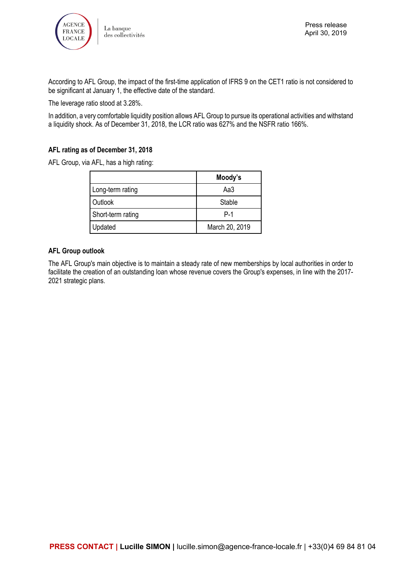

According to AFL Group, the impact of the first-time application of IFRS 9 on the CET1 ratio is not considered to be significant at January 1, the effective date of the standard.

The leverage ratio stood at 3.28%.

In addition, a very comfortable liquidity position allows AFL Group to pursue its operational activities and withstand a liquidity shock. As of December 31, 2018, the LCR ratio was 627% and the NSFR ratio 166%.

# **AFL rating as of December 31, 2018**

AFL Group, via AFL, has a high rating:

|                   | Moody's        |
|-------------------|----------------|
| Long-term rating  | Aa3            |
| Outlook           | Stable         |
| Short-term rating | $P-1$          |
| Updated           | March 20, 2019 |

## **AFL Group outlook**

The AFL Group's main objective is to maintain a steady rate of new memberships by local authorities in order to facilitate the creation of an outstanding loan whose revenue covers the Group's expenses, in line with the 2017- 2021 strategic plans.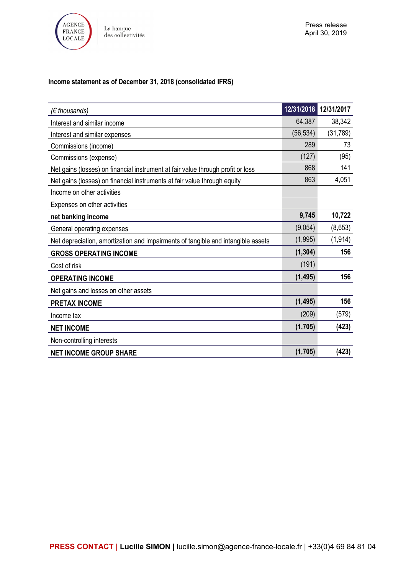

# **Income statement as of December 31, 2018 (consolidated IFRS)**

| $(\epsilon$ thousands)                                                           |           | 12/31/2018 12/31/2017 |
|----------------------------------------------------------------------------------|-----------|-----------------------|
| Interest and similar income                                                      | 64,387    | 38,342                |
| Interest and similar expenses                                                    | (56, 534) | (31, 789)             |
| Commissions (income)                                                             | 289       | 73                    |
| Commissions (expense)                                                            | (127)     | (95)                  |
| Net gains (losses) on financial instrument at fair value through profit or loss  | 868       | 141                   |
| Net gains (losses) on financial instruments at fair value through equity         | 863       | 4,051                 |
| Income on other activities                                                       |           |                       |
| Expenses on other activities                                                     |           |                       |
| net banking income                                                               | 9,745     | 10,722                |
| General operating expenses                                                       | (9,054)   | (8,653)               |
| Net depreciation, amortization and impairments of tangible and intangible assets | (1,995)   | (1, 914)              |
| <b>GROSS OPERATING INCOME</b>                                                    | (1, 304)  | 156                   |
| Cost of risk                                                                     | (191)     |                       |
| <b>OPERATING INCOME</b>                                                          | (1, 495)  | 156                   |
| Net gains and losses on other assets                                             |           |                       |
| <b>PRETAX INCOME</b>                                                             | (1, 495)  | 156                   |
| Income tax                                                                       | (209)     | (579)                 |
| <b>NET INCOME</b>                                                                | (1,705)   | (423)                 |
| Non-controlling interests                                                        |           |                       |
| <b>NET INCOME GROUP SHARE</b>                                                    | (1,705)   | (423)                 |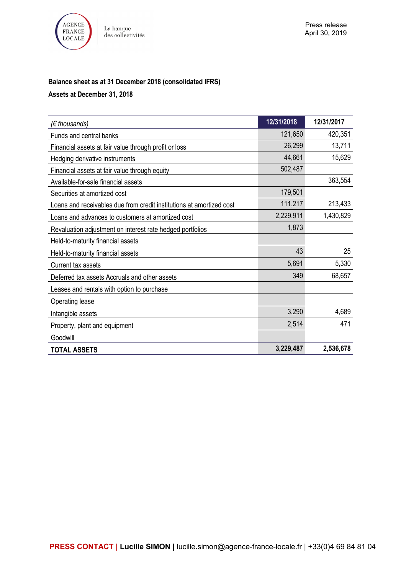

# **Balance sheet as at 31 December 2018 (consolidated IFRS)**

# **Assets at December 31, 2018**

| $(\epsilon$ thousands)                                               | 12/31/2018 | 12/31/2017 |
|----------------------------------------------------------------------|------------|------------|
| Funds and central banks                                              | 121,650    | 420,351    |
| Financial assets at fair value through profit or loss                | 26,299     | 13,711     |
| Hedging derivative instruments                                       | 44,661     | 15,629     |
| Financial assets at fair value through equity                        | 502,487    |            |
| Available-for-sale financial assets                                  |            | 363,554    |
| Securities at amortized cost                                         | 179,501    |            |
| Loans and receivables due from credit institutions at amortized cost | 111,217    | 213,433    |
| Loans and advances to customers at amortized cost                    | 2,229,911  | 1,430,829  |
| Revaluation adjustment on interest rate hedged portfolios            | 1,873      |            |
| Held-to-maturity financial assets                                    |            |            |
| Held-to-maturity financial assets                                    | 43         | 25         |
| Current tax assets                                                   | 5,691      | 5,330      |
| Deferred tax assets Accruals and other assets                        | 349        | 68,657     |
| Leases and rentals with option to purchase                           |            |            |
| Operating lease                                                      |            |            |
| Intangible assets                                                    | 3,290      | 4,689      |
| Property, plant and equipment                                        | 2,514      | 471        |
| Goodwill                                                             |            |            |
| <b>TOTAL ASSETS</b>                                                  | 3,229,487  | 2,536,678  |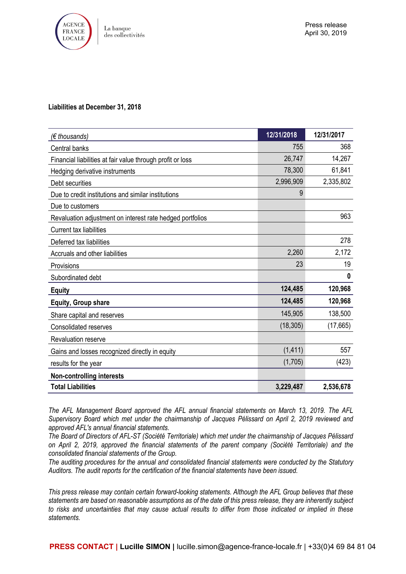

# **Liabilities at December 31, 2018**

| $(\epsilon$ thousands)                                     | 12/31/2018 | 12/31/2017 |
|------------------------------------------------------------|------------|------------|
| Central banks                                              | 755        | 368        |
| Financial liabilities at fair value through profit or loss | 26,747     | 14,267     |
| Hedging derivative instruments                             | 78,300     | 61,841     |
| Debt securities                                            | 2,996,909  | 2,335,802  |
| Due to credit institutions and similar institutions        | 9          |            |
| Due to customers                                           |            |            |
| Revaluation adjustment on interest rate hedged portfolios  |            | 963        |
| <b>Current tax liabilities</b>                             |            |            |
| Deferred tax liabilities                                   |            | 278        |
| Accruals and other liabilities                             | 2,260      | 2,172      |
| Provisions                                                 | 23         | 19         |
| Subordinated debt                                          |            | 0          |
| <b>Equity</b>                                              | 124,485    | 120,968    |
| <b>Equity, Group share</b>                                 | 124,485    | 120,968    |
| Share capital and reserves                                 | 145,905    | 138,500    |
| <b>Consolidated reserves</b>                               | (18, 305)  | (17,665)   |
| Revaluation reserve                                        |            |            |
| Gains and losses recognized directly in equity             | (1, 411)   | 557        |
| results for the year                                       | (1,705)    | (423)      |
| <b>Non-controlling interests</b>                           |            |            |
| <b>Total Liabilities</b>                                   | 3,229,487  | 2,536,678  |

*The AFL Management Board approved the AFL annual financial statements on March 13, 2019. The AFL Supervisory Board which met under the chairmanship of Jacques Pélissard on April 2, 2019 reviewed and approved AFL's annual financial statements.* 

*The Board of Directors of AFL-ST (Société Territoriale) which met under the chairmanship of Jacques Pélissard on April 2, 2019, approved the financial statements of the parent company (Société Territoriale) and the consolidated financial statements of the Group.*

*The auditing procedures for the annual and consolidated financial statements were conducted by the Statutory Auditors. The audit reports for the certification of the financial statements have been issued.*

*This press release may contain certain forward-looking statements. Although the AFL Group believes that these statements are based on reasonable assumptions as of the date of this press release, they are inherently subject to risks and uncertainties that may cause actual results to differ from those indicated or implied in these statements.*